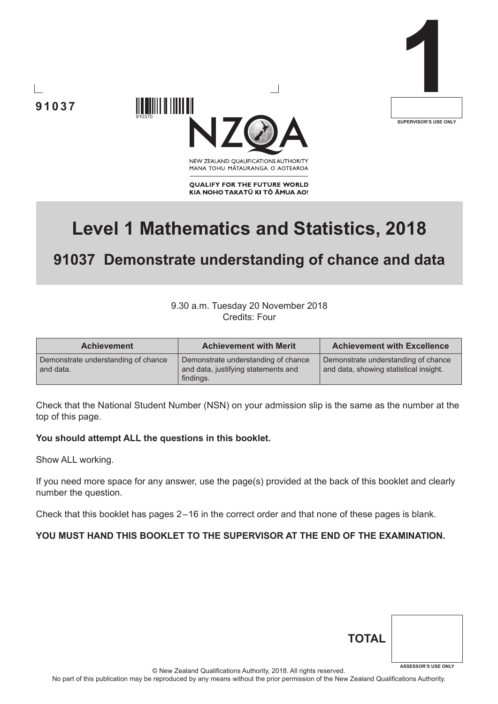

910370



NEW ZEALAND OUALIFICATIONS AUTHORITY MANA TOHU MĀTAURANGA O AOTEAROA

**QUALIFY FOR THE FUTURE WORLD** KIA NOHO TAKATŪ KI TŌ ĀMUA AO!

# **Level 1 Mathematics and Statistics, 2018**

## **91037 Demonstrate understanding of chance and data**

### 9.30 a.m. Tuesday 20 November 2018 Credits: Four

| <b>Achievement</b>                               | <b>Achievement with Merit</b>                                                           | <b>Achievement with Excellence</b>                                            |
|--------------------------------------------------|-----------------------------------------------------------------------------------------|-------------------------------------------------------------------------------|
| Demonstrate understanding of chance<br>and data. | Demonstrate understanding of chance<br>and data, justifying statements and<br>findings. | Demonstrate understanding of chance<br>and data, showing statistical insight. |

Check that the National Student Number (NSN) on your admission slip is the same as the number at the top of this page.

#### **You should attempt ALL the questions in this booklet.**

Show ALL working.

**91037**

If you need more space for any answer, use the page(s) provided at the back of this booklet and clearly number the question.

Check that this booklet has pages 2 – 16 in the correct order and that none of these pages is blank.

#### **YOU MUST HAND THIS BOOKLET TO THE SUPERVISOR AT THE END OF THE EXAMINATION.**

| <b>TOTAL</b> |                            |
|--------------|----------------------------|
|              | <b>ASSESSOR'S USE ONLY</b> |

© New Zealand Qualifications Authority, 2018. All rights reserved.

No part of this publication may be reproduced by any means without the prior permission of the New Zealand Qualifications Authority.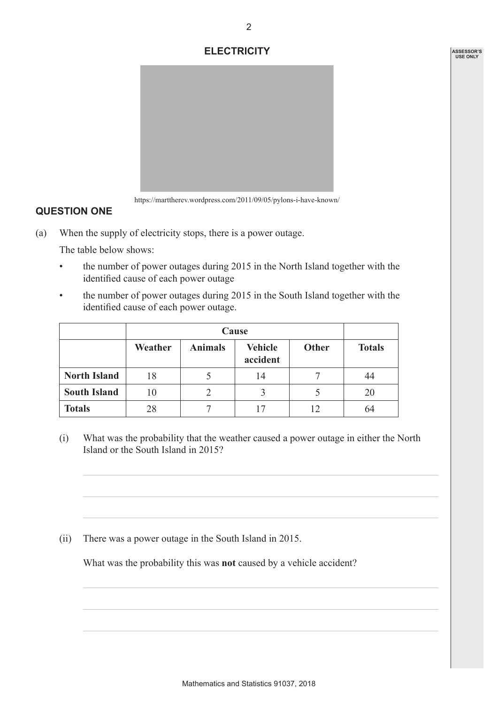## **ELECTRICITY**



https://marttherev.wordpress.com/2011/09/05/pylons-i-have-known/

## **QUESTION ONE**

(a) When the supply of electricity stops, there is a power outage.

The table below shows:

- the number of power outages during 2015 in the North Island together with the identified cause of each power outage
- the number of power outages during 2015 in the South Island together with the identified cause of each power outage.

|                     |         | Cause          |                            |              |               |  |  |
|---------------------|---------|----------------|----------------------------|--------------|---------------|--|--|
|                     | Weather | <b>Animals</b> | <b>Vehicle</b><br>accident | <b>Other</b> | <b>Totals</b> |  |  |
| <b>North Island</b> | 18      |                | 14                         |              | 44            |  |  |
| <b>South Island</b> | 10      |                |                            |              | 20            |  |  |
| <b>Totals</b>       | 28      |                |                            | 12           | 64            |  |  |

(i) What was the probability that the weather caused a power outage in either the North Island or the South Island in 2015?

(ii) There was a power outage in the South Island in 2015.

What was the probability this was **not** caused by a vehicle accident?

2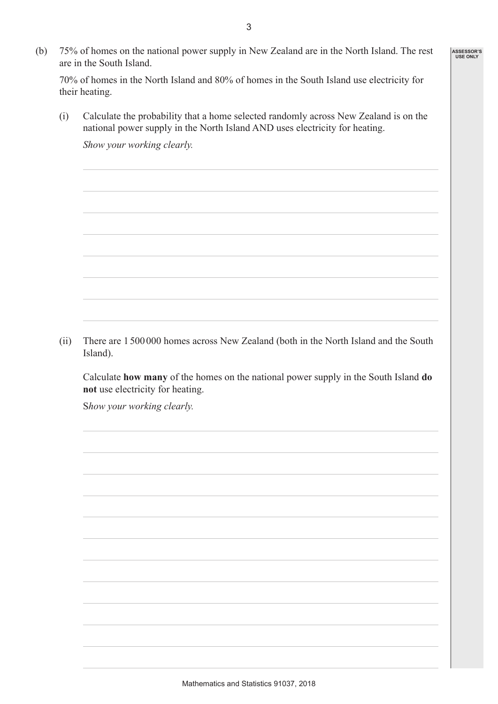(b) 75% of homes on the national power supply in New Zealand are in the North Island. The rest are in the South Island.

70% of homes in the North Island and 80% of homes in the South Island use electricity for their heating.

(i) Calculate the probability that a home selected randomly across New Zealand is on the national power supply in the North Island AND uses electricity for heating.

 *Show your working clearly.*

(ii) There are 1500000 homes across New Zealand (both in the North Island and the South Island).

 Calculate **how many** of the homes on the national power supply in the South Island **do not** use electricity for heating.

S*how your working clearly.*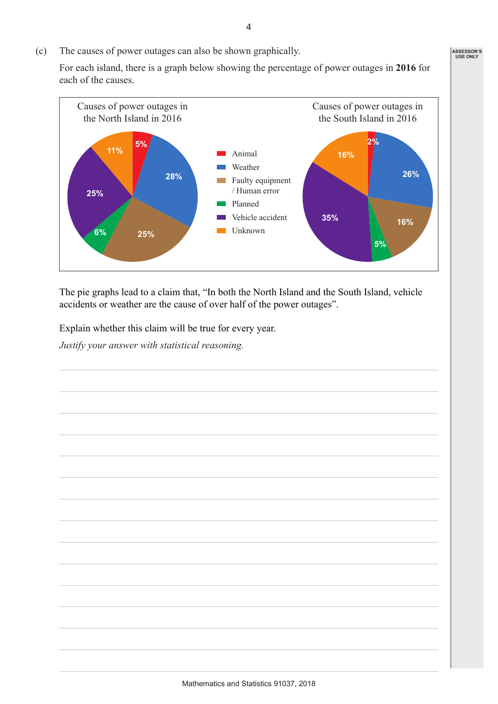(c) The causes of power outages can also be shown graphically.

For each island, there is a graph below showing the percentage of power outages in **2016** for each of the causes.



The pie graphs lead to a claim that, "In both the North Island and the South Island, vehicle accidents or weather are the cause of over half of the power outages".

Explain whether this claim will be true for every year.

*Justify your answer with statistical reasoning.*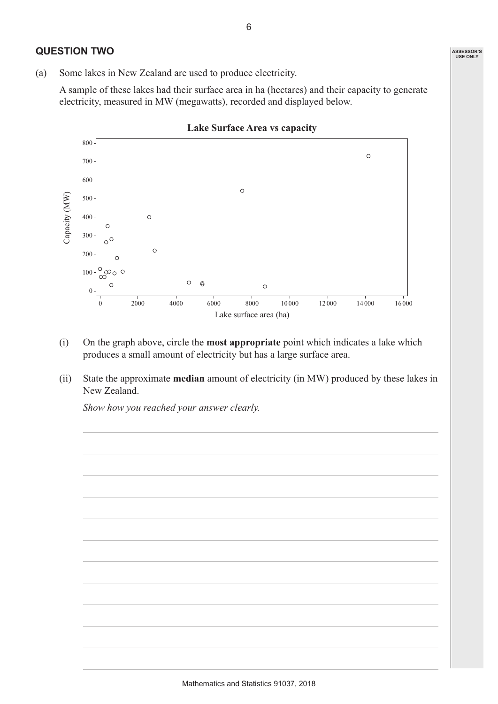## **QUESTION TWO**

(a) Some lakes in New Zealand are used to produce electricity.

A sample of these lakes had their surface area in ha (hectares) and their capacity to generate electricity, measured in MW (megawatts), recorded and displayed below.



- (i) On the graph above, circle the **most appropriate** point which indicates a lake which produces a small amount of electricity but has a large surface area.
- (ii) State the approximate **median** amount of electricity (in MW) produced by these lakes in New Zealand.

*Show how you reached your answer clearly.*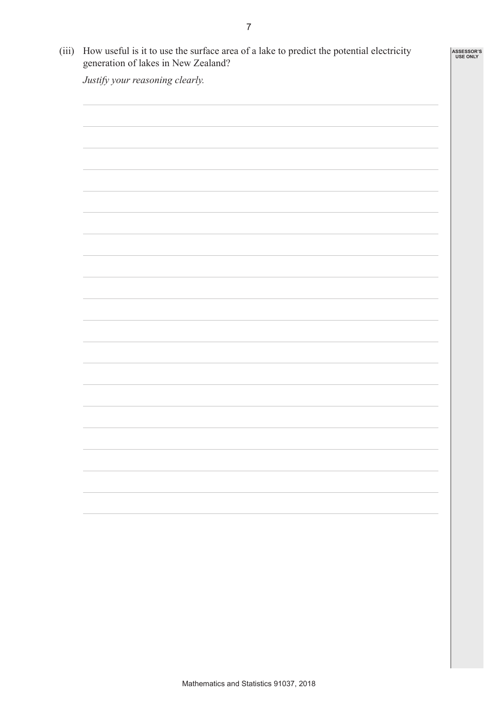| Justify your reasoning clearly. |  |
|---------------------------------|--|
|                                 |  |
|                                 |  |
|                                 |  |
|                                 |  |
|                                 |  |
|                                 |  |
|                                 |  |
|                                 |  |
|                                 |  |
|                                 |  |
|                                 |  |
|                                 |  |
|                                 |  |
|                                 |  |
|                                 |  |
|                                 |  |
|                                 |  |
|                                 |  |
|                                 |  |
|                                 |  |
|                                 |  |
|                                 |  |
|                                 |  |
|                                 |  |
|                                 |  |
|                                 |  |
|                                 |  |
|                                 |  |
|                                 |  |
|                                 |  |
|                                 |  |
|                                 |  |
|                                 |  |
|                                 |  |
|                                 |  |
|                                 |  |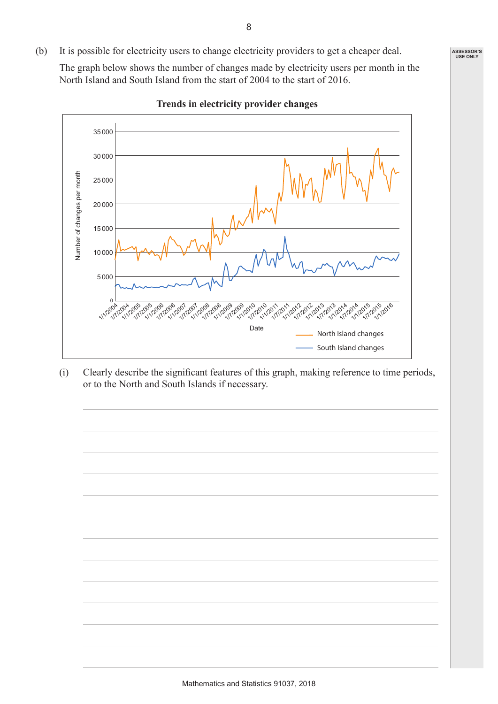(b) It is possible for electricity users to change electricity providers to get a cheaper deal.

The graph below shows the number of changes made by electricity users per month in the North Island and South Island from the start of 2004 to the start of 2016.



**Trends in electricity provider changes**

(i) Clearly describe the significant features of this graph, making reference to time periods, or to the North and South Islands if necessary.

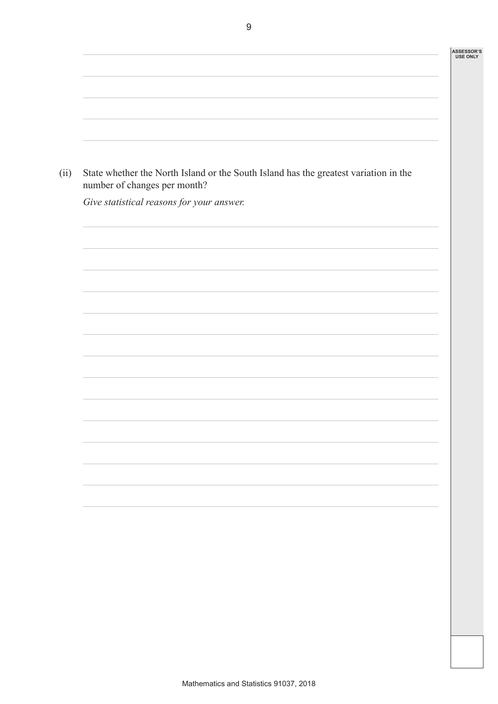| State whether the North Island or the South Island has the greatest variation in the |
|--------------------------------------------------------------------------------------|
| Give statistical reasons for your answer.                                            |
|                                                                                      |
|                                                                                      |
|                                                                                      |
|                                                                                      |
|                                                                                      |
|                                                                                      |
|                                                                                      |
|                                                                                      |
|                                                                                      |
|                                                                                      |
|                                                                                      |
|                                                                                      |
|                                                                                      |
|                                                                                      |
|                                                                                      |
|                                                                                      |
|                                                                                      |
|                                                                                      |
|                                                                                      |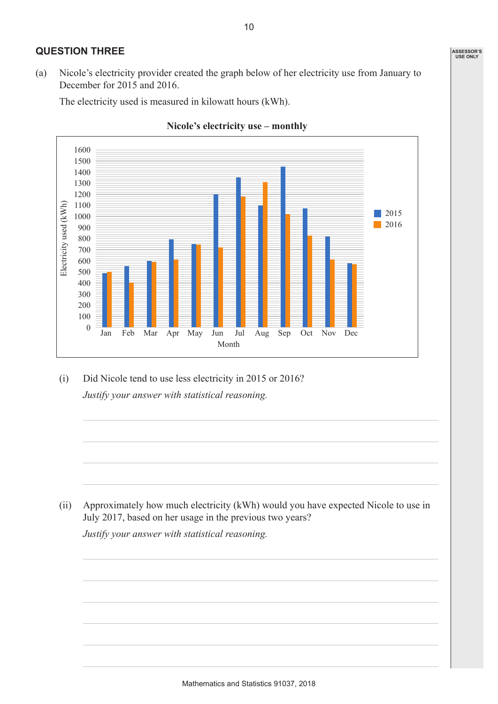## **QUESTION THREE**

(a) Nicole's electricity provider created the graph below of her electricity use from January to December for 2015 and 2016.

The electricity used is measured in kilowatt hours (kWh).





(i) Did Nicole tend to use less electricity in 2015 or 2016? *Justify your answer with statistical reasoning.*

(ii) Approximately how much electricity (kWh) would you have expected Nicole to use in July 2017, based on her usage in the previous two years?

*Justify your answer with statistical reasoning.*

10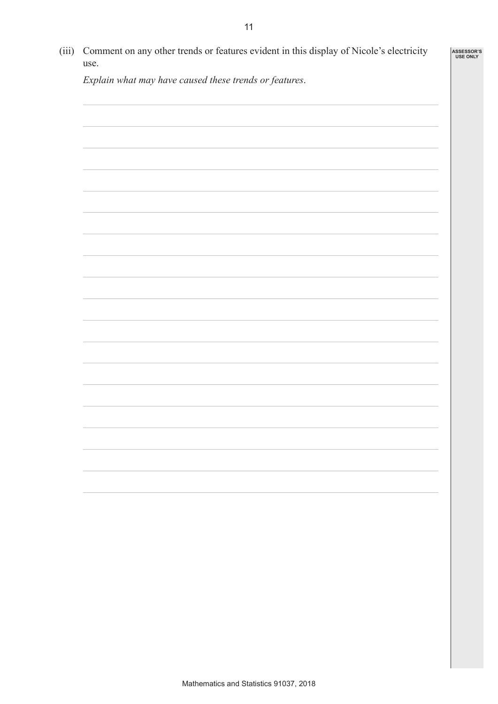| use.                                                   |  |
|--------------------------------------------------------|--|
| Explain what may have caused these trends or features. |  |
|                                                        |  |
|                                                        |  |
|                                                        |  |
|                                                        |  |
|                                                        |  |
|                                                        |  |
|                                                        |  |
|                                                        |  |
|                                                        |  |
|                                                        |  |
|                                                        |  |
|                                                        |  |
|                                                        |  |
|                                                        |  |
|                                                        |  |
|                                                        |  |
|                                                        |  |
|                                                        |  |
|                                                        |  |
|                                                        |  |
|                                                        |  |
|                                                        |  |
|                                                        |  |
|                                                        |  |
|                                                        |  |
|                                                        |  |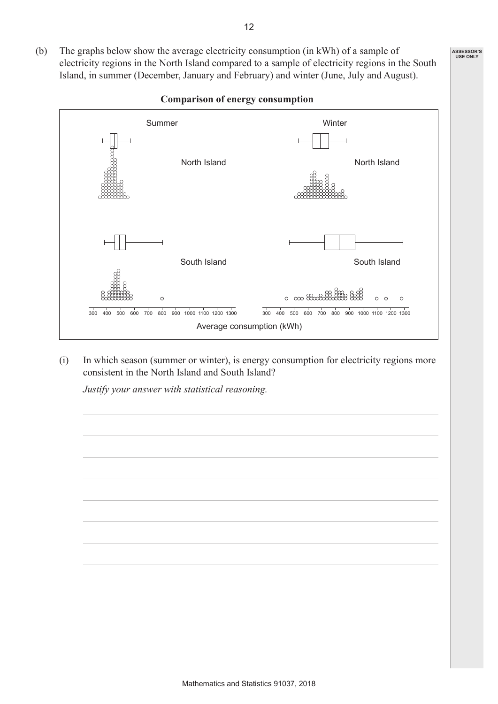(b) The graphs below show the average electricity consumption (in kWh) of a sample of electricity regions in the North Island compared to a sample of electricity regions in the South Island, in summer (December, January and February) and winter (June, July and August).



#### **Comparison of energy consumption**

(i) In which season (summer or winter), is energy consumption for electricity regions more consistent in the North Island and South Island?

*Justify your answer with statistical reasoning.*



12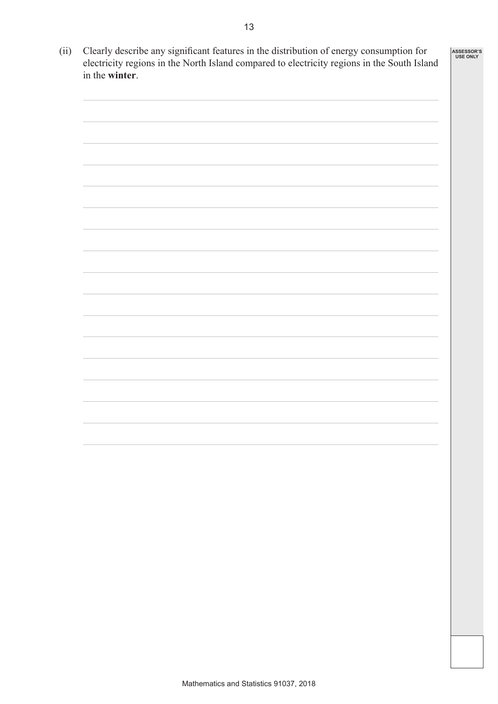| (ii) | Clearly describe any significant features in the distribution of energy consumption for<br>electricity regions in the North Island compared to electricity regions in the South Island<br>in the winter. |  |  |  |
|------|----------------------------------------------------------------------------------------------------------------------------------------------------------------------------------------------------------|--|--|--|
|      |                                                                                                                                                                                                          |  |  |  |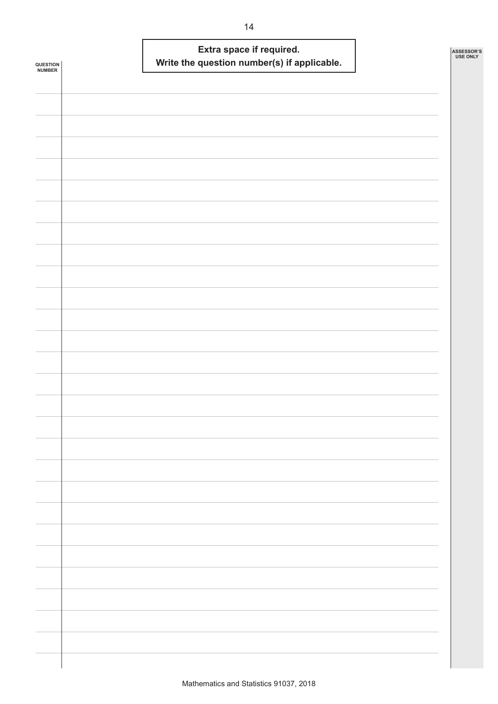| QUESTION<br><b>NUMBER</b> | Extra space if required.<br>Write the question number(s) if applicable. | ASSESSOR'S<br><b>USE ONLY</b> |
|---------------------------|-------------------------------------------------------------------------|-------------------------------|
|                           |                                                                         |                               |
|                           |                                                                         |                               |
|                           |                                                                         |                               |
|                           |                                                                         |                               |
|                           |                                                                         |                               |
|                           |                                                                         |                               |
|                           |                                                                         |                               |
|                           |                                                                         |                               |
|                           |                                                                         |                               |
|                           |                                                                         |                               |
|                           |                                                                         |                               |
|                           |                                                                         |                               |
|                           |                                                                         |                               |
|                           |                                                                         |                               |
|                           |                                                                         |                               |
|                           |                                                                         |                               |
|                           |                                                                         |                               |
|                           |                                                                         |                               |
|                           |                                                                         |                               |
|                           |                                                                         |                               |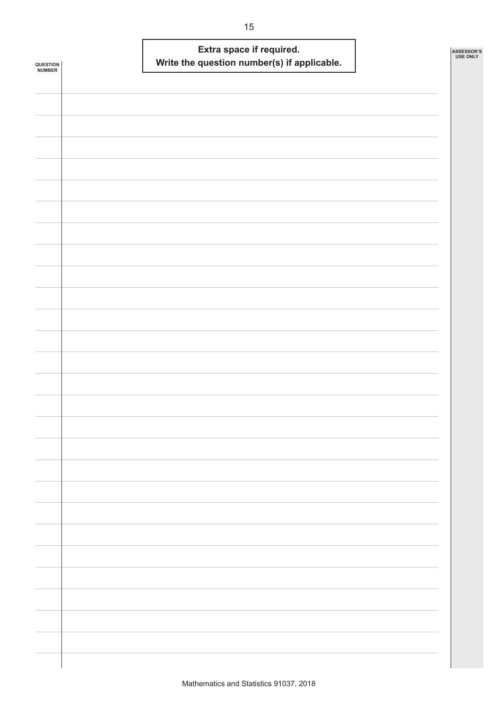| <b>QUESTION<br/>NUMBER</b> | Extra space if required.<br>Write the question number(s) if applicable. | ASSESSOR'S<br><b>USE ONLY</b> |
|----------------------------|-------------------------------------------------------------------------|-------------------------------|
|                            |                                                                         |                               |
|                            |                                                                         |                               |
|                            |                                                                         |                               |
|                            |                                                                         |                               |
|                            |                                                                         |                               |
|                            |                                                                         |                               |
|                            |                                                                         |                               |
|                            |                                                                         |                               |
|                            |                                                                         |                               |
|                            |                                                                         |                               |
|                            |                                                                         |                               |
|                            |                                                                         |                               |
|                            |                                                                         |                               |
|                            |                                                                         |                               |